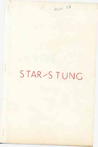# STAR-STUNG

 $M1628$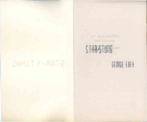# STAR-STUNG

## STAR-STUNG mar

. nd Smnertzerg

## GEORGE EBEY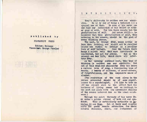#### INTRODUCTION:

Ebey's philosophy is neither new nor admir-<br>able. He is by way of being a hedonist and a He is by way of being a hedonist and a cynical one at that. In none of his verse can one find any indication of his belief in either good or evil. For him there exists but the<br>eratification of self. And worse still-- he gratification of self. believes that this gratification of self, this catering to the senses, should be the goal of every thinking person.

The past, to George Ebey, means little or less than nothing, and should not be recalled unless one wishes to indulge in a peculiar form of self torture. Over the future there hangs a silent veil that must inevitable be<br>neartrated, but not for awhile. But in the penetrated, but not for awhile. present one has life, which above all interests Ebey.

As the opening sentence went, this type of thinking is neither new nor admirable. Yet out of this dead-end philosophy Ebey has drawn a curious vein of song, a fascinating type of beauty. <sup>A</sup> beauty of silences, of never-nevers, of forgetfullness, and the exquisite oeace of slumber.

(The renitition of the word sleep in the verses presented should be of some significance to <sup>a</sup> psychologist. I'<sup>d</sup> like to take an off the record stab to the effect that the business of living seems but an irritant to the poet and sleep with its convenient dulling of the senses interest him as the ideal existence .)

Through the quiet threnody of his verse Ebey spins a golden strand of both wit and cynicism. This is particularly noticable in Invictus II and Rime. But at their most caustic parts the poems remain attractive for their natural delicacy, charm, and refinement of

#### **published by**

DIABLERIST PRESS

Editor: Maliano **Financier:** George V'heeler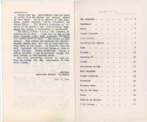#### expression.

George Ebey has experimented with all types of poetry from the rhymed and metered sonnet to free verse. He is an admirer of Carl Sandburg, Vachel Linsday, Joseph /uslander, and Elinor Vylie. The latter's influence is aparent in the brittle and scintillating Teardrops for Sylvia, a tragicomedy in undertones.

The usual, rather than the unusual, intrigues George Ebey. Poems such as Who is the Moon, November Morn, Dark Laughter, and Chaos are simple proof of this. The reason is also simple: Ebey abhors and disdains the shuddershudder theory that has for so long held fantasy poets in its grasp. He believes that the most customary and expected things--- such as night falling, leaves skittering across a street pavement ---- are inspiration enough for good fantasy or semi-fantasy verse.

This will, presumably, explain to some extent the reason for the publication of this small volume.

in the additional a same to false. Engles a

are the first line are offer to wheat the

-Maliano Associate editor: DI/BLERIE

with the first financial state for the

.<br>April 5, 1944

in 19

#### **CONTENTS**

|                                                   |           |                                                                                                 |                           | 3          |
|---------------------------------------------------|-----------|-------------------------------------------------------------------------------------------------|---------------------------|------------|
| Shambleau                                         |           | $\bullet$ . The set of $\bullet$<br>$\bullet$ .<br><br><br><br><br><br><br><br><br><br><br><br> |                           | 4          |
| Chaos<br>and the state of the state of the        |           |                                                                                                 |                           | 5          |
|                                                   |           | $\bullet$                                                                                       | $\bullet$                 | $\sqrt{6}$ |
| Wind Sprites                                      |           |                                                                                                 | <b>All Control</b><br>÷   | 7          |
| Teardrops for Sylvia                              |           | a mar                                                                                           | ٠                         | 8          |
| Rime<br><b>THE R. P. LEWIS CO., LANSING MICH.</b> |           | <b>College College</b>                                                                          | $\mathbf{z} = \mathbf{z}$ | - 9        |
| Flicker.                                          |           | <b>Contract Contract Contract</b>                                                               | and the<br>÷              | .10        |
|                                                   |           | $\mathbf{r} = \mathbf{r}$<br>e i<br>a.                                                          |                           | .11        |
| Stasis                                            | ò.        | ¥.                                                                                              | $\sim$<br><b>Contract</b> | . 12       |
| Impression in Ash.                                | $\bullet$ | a.<br>÷.                                                                                        | $\bullet$                 | . 13       |
| Dark Laughter<br>$\rightarrow$                    | ٠         | ò.                                                                                              |                           | .14        |
| Fonder Question.                                  | ¥.        | $\sim$ 100 $\pm$<br>$\bullet$                                                                   |                           | . 15       |
| Valentine<br>60 U.S.                              | ٠         |                                                                                                 |                           | . 16       |
| November Morn                                     |           | ٠                                                                                               | ä                         | .17        |
| Who is the Moon<br>$\rightarrow$                  | ä,        |                                                                                                 | ٠                         | . 18       |
|                                                   | ٠         | ٠                                                                                               | ă.                        | 19         |
| Madness in Crystal                                |           |                                                                                                 |                           | $-20$      |
| Might Dreams.                                     |           |                                                                                                 |                           | . 21       |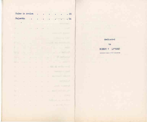| Ruins in Avalon          |                          |                          | ä      | ٠              | 23<br>s.                                      |
|--------------------------|--------------------------|--------------------------|--------|----------------|-----------------------------------------------|
| Falsetto                 |                          | þ.                       | ۰      | ٠<br>٠         | .24<br>m<br>٠<br>۰<br>ò                       |
| <b>Co</b><br>p.          |                          |                          |        |                | ٠                                             |
| $\overline{\mathcal{M}}$ | ۸                        | $\frac{1}{2}$            | ×      | $\rightarrow$  | <b>CONTRACTOR</b><br>٠                        |
| O<br>×                   |                          |                          | ×      |                | a s<br>٠                                      |
| ٠<br>٠                   |                          |                          | m      |                | <b>UM</b>                                     |
| n                        | w                        | $\overline{\phantom{a}}$ |        | ×              | <b>Service Controller Controller</b>          |
| ٠<br>п                   | ×                        | $\sim$                   |        | ٠              | ۰<br>$\sim$                                   |
| ٠<br>×                   | w                        | ×                        |        |                | w<br>٠<br>÷                                   |
| ۰.,                      | ×                        |                          | $\sim$ | ۰              | at is the s<br>×                              |
| ۰<br>×                   | $\sim$                   | ×                        | ٠      |                | ATC C<br>×<br>٠<br>×                          |
| m<br>٠                   | w                        | ×                        |        | ٠              | <b>PRICE</b><br>motion w<br>٠                 |
| <b>IT STAR</b>           | $\blacksquare$           | ٠                        | r.     | ٠              | r.                                            |
| ш                        | ۹                        |                          |        | ٠              | The Company's company and<br>×                |
|                          | $\overline{\phantom{a}}$ | ٠                        | -      | ۰              | ٠                                             |
| an)<br>٠                 | $\mathcal{A}$            | $\mathcal{A}$            | ٠      | $\overline{a}$ | <b>The Company</b><br>÷                       |
| ٠                        |                          |                          | m      | ٠              | <b>CHECK</b><br>٠                             |
| r                        | ۳                        | ×                        | m      | C              | <b>TANK AND REAL</b><br>w                     |
|                          | ٠                        | ٠                        |        | e en la        | a the pair<br><b>State of Concession</b><br>m |
| r                        |                          | ×                        | ٠      |                | <b>KIDS AND</b><br>۰                          |

dedicated  $to$ ROBERT  $V = LO F NDE$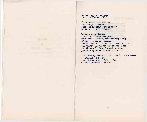#### *THE AWAKENED*

**Reserved Bank** 

I can hardly remember-So strange it seemed-Just the faintest, dying ember Of this Universe I dreamed

Lingers in my brain; <sup>A</sup> dull and changeless pain. There was---- "man", the crowning thing Of all my wild imagining. And "birds" and "rocks" and "sea" and "air" And "wars" and "love" and dreams I dare Not think of: lest I doubt my wit, And lose my dream because of it.

"And lose my dream . . . " I still remember-So strange it seemed-Just the faintest, dying ember Of this Universe I dreamed.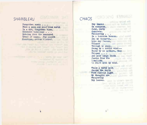#### *SHAMBLEAU*

Forgotten music . . . From a pale and wond'rous world In a dim, forgotten time. Unheeded tinklings . . . Echoing down the measured Tread of aeons. Fey Lilith Weepings, sorrow blurred.

All the Month Paul Bank to

**STANSON** 

#### **FIGURY OF STANDARDS** *CHAOS* fitting retial and

Dry leaves On concrete. Cold, dirty Concrete. cavecra tiles The Will Whispering . . . In a lonesome breeze. And my thoughts, Like dry leaves, Whisper **William Communication** Through my prain. Swung by a sordid wind- $-$ Bound by no pattern, they Whisper . . . And pale image froth Spawns from the La<mark>mplight</mark> To feast upon my mind.

187.10

on add office

will a world the paid individual mone has a signature

While a bored moon Sweeps the earth With flaccid light My thoughts are Whispering Dry leaves. more his all-there went in

 $h^{\pm}$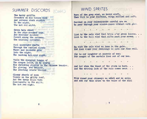### *SUMMER DISCORDS*

The hairy griffin Crouches on his Gorgon mask And screams stark anguish To the night. The hot red night.

Green bats wheel In the star-specked ooze. And muscular maidens Cavort among the patterns. The whirling patterns.

Cool moonlight shafts Through the curdled clouds Where mad leopards grin Into the night. The panting hot-eyed night.

While the spangled tongue of The dragon lolls, as he courts His shrinking phoenix in the Chinese brazier. The glowing red brazier. The sweating ornate brazier.

Glossy shards of moon Tinkle on the gritty turf. And the tawny hills turn Somersaults in the night. The hot red night.

#### *WIND SPRITES*

Born of the grey wind, we hover aloft. Then flit to your rooftops, wings muffled and soft.

Perched on your chimneysmoke careful are we To peer through your window-panes vibrant with glee

List to the pale wind that trips o'er green leaves. List to the wail wind that sifts past your eaves...

**A CONTRACTOR ON A CONTRACTOR** 

We ride the pale wind we toss in the gale. And down round your dwellings we spin our fine veil.

Sly is our laughter at secrets of men: For naught of the mortals lies out of our ken.

And lo! when the blast of the storm is here... And the driving lash of the rain comes near...

> . . . . 2010 - 1920 - 1930 - 1940 - 1940

Wild round your chimneys we whirl and we spin; And add our thin cries to the voice of the din!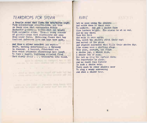#### *TEARDROPS FOR SYLVIA*

<sup>A</sup> fragile sound that flaws the breathless night Fith splinterings stiletto-like, and thin As faery wine that corruscates within Enchanted goblets--- bubble-shot and bright With enigmatic shine. Then---- stung cascade Of glitter-drops that scintillate and snap From inner fires. Embracing flames that tap Confused infernoes love and hope have made.

And thus a silver manniken has wept-Swift, mocking undertones!-- a threnody In diamond. <sup>A</sup> luscent, flint-hard sea From which prismatic shimmerings have leapt To form a jagged, lightning chiseled flood That slowly pools . . . transmuted into blood.

among has industriant. An imulatarial,

and can be for ment offering this by

the control of the control of the con-

active per new Axiles are appreciate taxed from a hightions was the under late are ended what was this but

in send us are to late to must will not ever indicate the wing survey relations to their product add link

#### *RIME .*

Let us pass among the shadows And watch them in their race To nowhere. And see a shadow face Glow lantern bright. His course is at an end. And he may wheel Upon his heel And walk it once again. Yea, watch the shadows strut their way! And marvel at the grave And studied solemness that fills their shadow day. Like mimes upon a shifting stage They pose, posture, and feign <sup>A</sup> shadow joy, a shadow rage, <sup>A</sup> shadow cry of pain. Nov: let us ring the curtain down: The repertoire is plain. And no doubt runs forever In such a shadow vein. There must be other shadows near To sing a weary sorrowsong And shed a shadow' tear.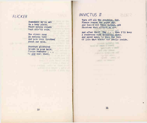#### *FLICKER*

Somewhere we've met On a hazy plain. Where purple clouds Wept silv'ry rain.

The rivers sang An endless tune And pale dusk throbbed About our moon.

Stardust glittered Bright in your hair. Flease remember . . . We did meet there.

#### *INVICTUS n*

Turn off all the sunshine, God. Please remove the paper sky. And banish all these warped, odd Phantoms that affront my eye.

social of sign stored

And after that? Why . . . then I'll keep <sup>A</sup> rendevous with dreamless sleep. And never wake, to know the tide Of life that bursts and swells inside.

**SPT PT: 1914** 

House nothing her

satellide arout?

 $\frac{1}{2}$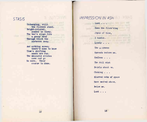#### *STASIS*

Unchanging, still the flowers stand. Bright-colored, soaked in sleep. The bee's wings form a gauzy band Through which the sunbeams seep.

**IL CUTOWA** 

And nothing moves; there's none to know Time's shifting sands are run. The measured minutes come and go No more. Their course is done.

#### *IMPRESSION IN ASH*

Lost . . . Down the flick'ring Abyss of time, I wander. Lonely . . . The grayness Spreads before me. Endless . . . The dull mist Swirls about ne. Choking . . . Blurred webs of space Have meshed above. Below me.

Lost . . .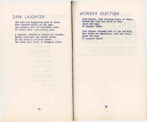#### *DARK LAUGHTER*

The dull and languorous gods of sleep Have settled softly on the land, And spread a veil of stillness, deep In frozen hill with numbing hand.

<sup>A</sup> silence, steeped in drowse and slumber, Broods cool upon the torpid earth; Of icy coils in endless number . . . The sleep gods laugh in sluggish mirth.

#### *WONDER QUESTION*

Long leaves, like trailing hands of sleep, Caress the wind and twine it deep About the tops Of Languor Trees.

Cool breeze, whimmed soul of fen and hill, What holds you chainless, soft and still. About the tops Of Languor Trees?

sing to are recently

**Contract Only**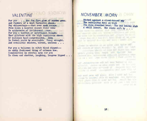## *VALENTINE*

For you . . . the fox fire glow of hidden gems. And flowers of a most fantastic shape. Fey whisperings---- that ever seek escape From lands a haunted silent river hems In spiderwebs of irridescent repe. For you a torrent of unfettered thought That glistens with the high capricious sheen Of radience half-comprehended. Seen In forest pools by moonlight: Fancy wrought. And cabalistic shadows, warped, unclean . . .

For you a talisman in witch blood dipped-An oddly fashioned thing of crimson hue. Complexities in crystal spun for you To clasp and shatter, laughing, langous lipped . .

#### *NOVEMBER MORN*

Etched against a cloud-tossed **sky** The eucalyptus bows on high Its rain drenched head. The sad leaves sigh <sup>A</sup> chill lament. The winds sift by . . .

in intrytele off and

his to error this air space, in all them for his I has well after their at on ever of fewers and then I need the

adverse of an allow you wide out covers or more translated in 1993. when the net floor but diletes that learn

participate green; check produced how, address the sell had appropried that I **Ball Lain** 

communication the extensional witness. Comme on since stags add ally her her often at "und W" 190 less Ville in The planet complete the

will, plack the orne tree tax week to analysi little 25 meetingst with the thin it will not be anothermals patterns which we get you - but were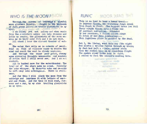#### *WHO IS THE W.OON ?*

Through the screen of oaktwigs a wistful moon glimmers faintly. Caught in the meshwork of dark green leaves it trails glorymists in my eyes.

I am asleep yet not asleep and when music from the everywhere eddys out into dimness and lulls my senses, the glorymists of the moon enwrap me in their cold fire and I do not rest.

All about I hear the distant thunder of water.

The water that veils me in cobwebs of pearl. Fold on fold of delicate vapor to deaden the mind and exalt the soul to cloudy noplaces.

And through the vapor peer great, rheumy eyes mirroring thoughts unknowable and wonders of notime that I shall never see. And I am not content.

All is hushed save for the waterthunder. The laughter of the stars make no sound. Silently the oaks whisper. My thoughts echo and re-echo to sift away into nothingness. There is stillness.

And for this I will pluck the moon from the oaktwigs and imprison it with letters of emerald and flame. And for this it will rest, forever and a day, by my side trailing glorymists in my eyes.

#### **RUNIC MOOS SING BH**

This is no land to bear a human tread-In leprous floods, the twitching fungi crawl From feast to feast. The haggard trees let fall Their virgin blooms into a fluid bed Of sentient corruption. Attended By her phantoms, a fallen Lilith sings To Satan of her Eden journeyings-This lightless place is peopled by the dead.

Yet I, the living, went this way (the night Had scored a twisted furrow through my brain; My feet had left a subtle, spider stain Upon the rocks) till in my ceaseless flight The sombre river Lethe came in sight. I smiled to feel the liquid's numbing bite.

**TESTIE ID** 

work and the control of the control www.communication.com The course of the course of

Professional personal con-

to the the desired entimal.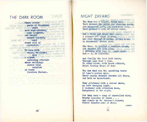### *THE DARK ROOM*

Vhere little gusts of blackness swirl past high-pitched, airy laughter, and turgid shapes supinely curl round veil of alabaster.

To view with vapid, be-filmed eyes and the contract of the contract of the contract of the contract of the contract of the contract of the contract of the contract of the contract of the contract of the contract of the contract of the contract of the c use that of Salin silent screaming creature whose writhings mirror mild surprise on every formless feature.

#### *NIGHT DREAMS*

The Moon was a silver, titan ball That skimmed the green and sleeping earth. And whispered soft, its wond'rous call. Then grinned a grin of silent mirth.

And I awoke and heard that call. I slipped off couch of down, And sped through towering, fluted hall. In Morpheous' drowsy gown.

The Moon, it laughed a careless laugh, And shouted oft with glee.<br>I shreiked with joy, ir inner daft! But-0, so silently.

And finally the last bolt burst; Through open door I flew. To stand alone, with heart athirst, Midst flaming drops of dew!

The dew that was the sparkling tears Of Luna's molten eyes. Their pearly shimmer checked all fears. And held me hypnotized.

They glistened with a silver sheen, An ever changing light. <sup>I</sup> listened with attention keen, Enraptured in the night.

For they sand a song of crystalled mist; Frosty cascades of stars . . . And comets by the heaven's kissed; Fierce thunder-sons of Mars;

-over-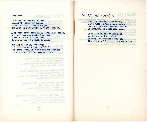-continued-

#### **PMARSA THOW**

Of mysteries beyond our ken, Beyond the reach of space; Of secrets that Creation's pen Has kept in hard-grasped, tight embrace.

<sup>A</sup> thought crept through my spellbound brain, And thrilled me, chilled me deep. Dared I follow in this rain Of dew drops, or return to sleep?

But lo! the ruddy sun arose, And with its warm rays banished The green earth from its slumber clothes. The dew drops trembled--- vanished . . .

> stand push real out without has The country of the country of the country training and one pents and of Im the more believed Hands

where purposes out our field we had cores problem around 10 many the people cheese six mass, Analisated on filed but

> peeds wells a lite bunitable your istable and a material and yound existendary hapy members in telectric and the including static

ritals hatterage by peak is long until and in a straite by enhanced aftered closed a convented in the following data patent to home to marit work? *RUINS IN AVALON*

. R.C Tody

**Editor** 

Spun in uncertain monotones, The wonder of the wind appears To beat upon the heedless stones In frenzies of forbidden tears.

They loom in silent monument Against an alien, ochre sky. Beneath, in obscure tenement, The shades of falled ghost kings lie.

enal Luttime and dat Halls 21 radi but

OT TEZ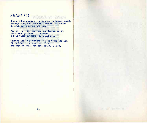## *FALSETTO*

I dreamed you once . . . in some enchanted world.<br>Through sprays of moon that weaved and curled I dreamed you once . . . in some enchanted world.<br>Through sprays of moon that weaved and curled In arabesques serene and slow.

Asleep . . . the poppygod has dropped a net About your pinioned silouhette. I hear their laughter, soft and low.

Poor dream! A structure rown of tears and ash. It vanished in a soundless flash. And that it shall not come again, I know.